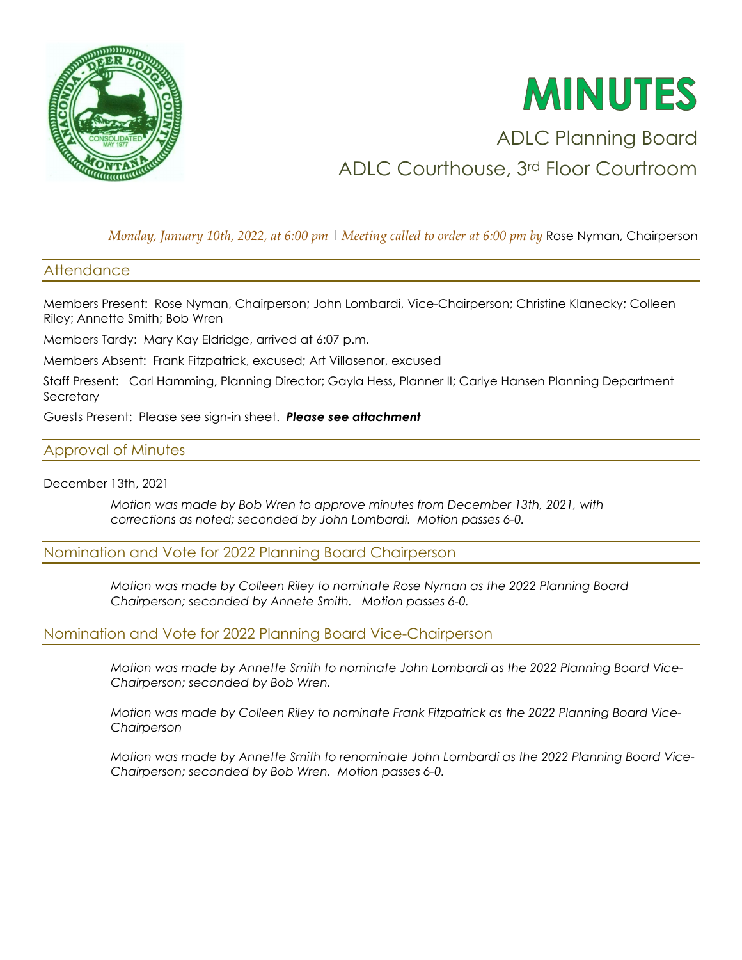

# **MINUTES**

# ADLC Planning Board ADLC Courthouse, 3rd Floor Courtroom

*Monday, January 10th, 2022, at 6:00 pm* | *Meeting called to order at 6:00 pm by* Rose Nyman, Chairperson

# **Attendance**

Members Present: Rose Nyman, Chairperson; John Lombardi, Vice-Chairperson; Christine Klanecky; Colleen Riley; Annette Smith; Bob Wren

Members Tardy: Mary Kay Eldridge, arrived at 6:07 p.m.

Members Absent: Frank Fitzpatrick, excused; Art Villasenor, excused

Staff Present: Carl Hamming, Planning Director; Gayla Hess, Planner II; Carlye Hansen Planning Department **Secretary** 

Guests Present: Please see sign-in sheet. *Please see attachment* 

# Approval of Minutes

December 13th, 2021

*Motion was made by Bob Wren to approve minutes from December 13th, 2021, with corrections as noted; seconded by John Lombardi. Motion passes 6-0.* 

# Nomination and Vote for 2022 Planning Board Chairperson

*Motion was made by Colleen Riley to nominate Rose Nyman as the 2022 Planning Board Chairperson; seconded by Annete Smith. Motion passes 6-0.* 

# Nomination and Vote for 2022 Planning Board Vice-Chairperson

*Motion was made by Annette Smith to nominate John Lombardi as the 2022 Planning Board Vice-Chairperson; seconded by Bob Wren.* 

*Motion was made by Colleen Riley to nominate Frank Fitzpatrick as the 2022 Planning Board Vice-Chairperson* 

*Motion was made by Annette Smith to renominate John Lombardi as the 2022 Planning Board Vice-Chairperson; seconded by Bob Wren. Motion passes 6-0.*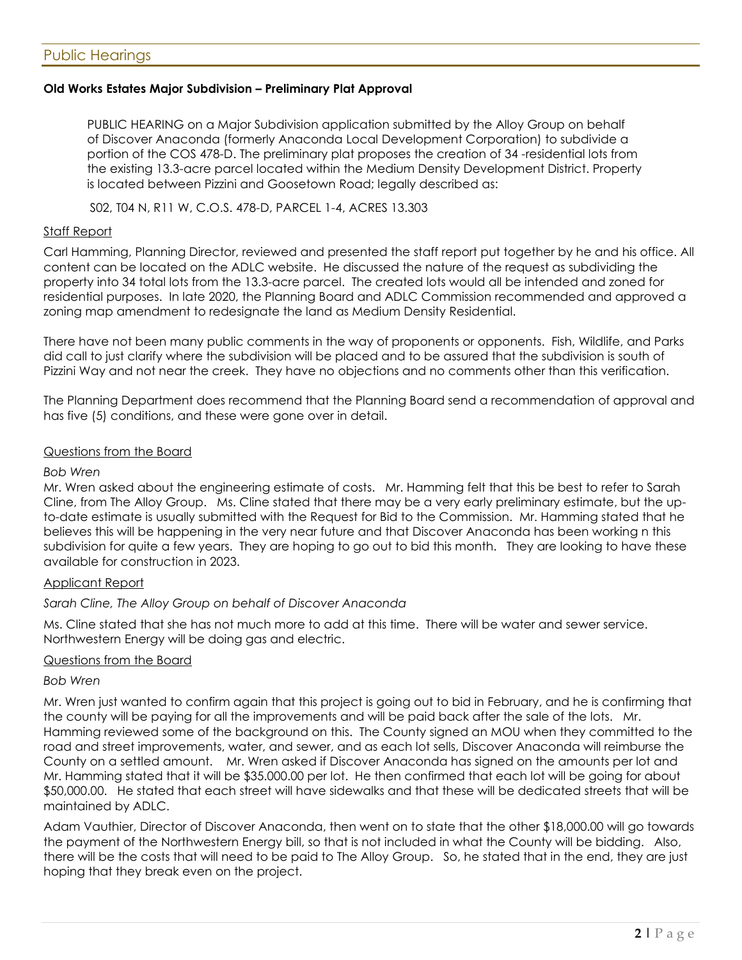#### **Old Works Estates Major Subdivision – Preliminary Plat Approval**

PUBLIC HEARING on a Major Subdivision application submitted by the Alloy Group on behalf of Discover Anaconda (formerly Anaconda Local Development Corporation) to subdivide a portion of the COS 478-D. The preliminary plat proposes the creation of 34 -residential lots from the existing 13.3-acre parcel located within the Medium Density Development District. Property is located between Pizzini and Goosetown Road; legally described as:

S02, T04 N, R11 W, C.O.S. 478-D, PARCEL 1-4, ACRES 13.303

#### Staff Report

Carl Hamming, Planning Director, reviewed and presented the staff report put together by he and his office. All content can be located on the ADLC website. He discussed the nature of the request as subdividing the property into 34 total lots from the 13.3-acre parcel. The created lots would all be intended and zoned for residential purposes. In late 2020, the Planning Board and ADLC Commission recommended and approved a zoning map amendment to redesignate the land as Medium Density Residential.

There have not been many public comments in the way of proponents or opponents. Fish, Wildlife, and Parks did call to just clarify where the subdivision will be placed and to be assured that the subdivision is south of Pizzini Way and not near the creek. They have no objections and no comments other than this verification.

The Planning Department does recommend that the Planning Board send a recommendation of approval and has five (5) conditions, and these were gone over in detail.

#### Questions from the Board

#### *Bob Wren*

Mr. Wren asked about the engineering estimate of costs. Mr. Hamming felt that this be best to refer to Sarah Cline, from The Alloy Group. Ms. Cline stated that there may be a very early preliminary estimate, but the upto-date estimate is usually submitted with the Request for Bid to the Commission. Mr. Hamming stated that he believes this will be happening in the very near future and that Discover Anaconda has been working n this subdivision for quite a few years. They are hoping to go out to bid this month. They are looking to have these available for construction in 2023.

#### Applicant Report

#### *Sarah Cline, The Alloy Group on behalf of Discover Anaconda*

Ms. Cline stated that she has not much more to add at this time. There will be water and sewer service. Northwestern Energy will be doing gas and electric.

#### Questions from the Board

#### *Bob Wren*

Mr. Wren just wanted to confirm again that this project is going out to bid in February, and he is confirming that the county will be paying for all the improvements and will be paid back after the sale of the lots. Mr. Hamming reviewed some of the background on this. The County signed an MOU when they committed to the road and street improvements, water, and sewer, and as each lot sells, Discover Anaconda will reimburse the County on a settled amount. Mr. Wren asked if Discover Anaconda has signed on the amounts per lot and Mr. Hamming stated that it will be \$35.000.00 per lot. He then confirmed that each lot will be going for about \$50,000.00. He stated that each street will have sidewalks and that these will be dedicated streets that will be maintained by ADLC.

Adam Vauthier, Director of Discover Anaconda, then went on to state that the other \$18,000.00 will go towards the payment of the Northwestern Energy bill, so that is not included in what the County will be bidding. Also, there will be the costs that will need to be paid to The Alloy Group. So, he stated that in the end, they are just hoping that they break even on the project.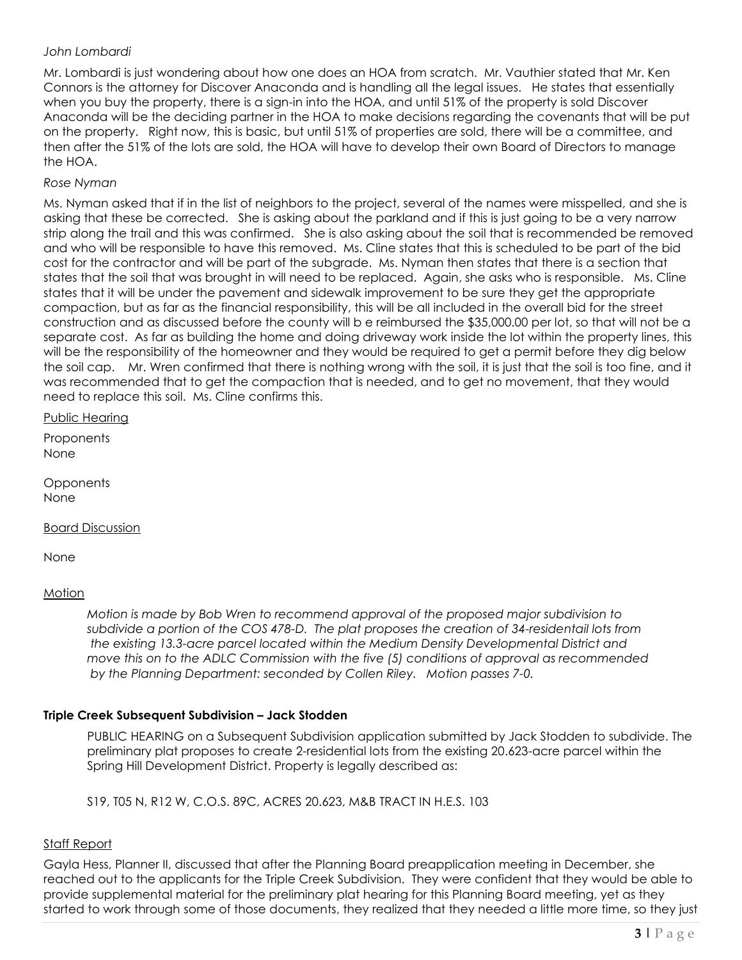### *John Lombardi*

Mr. Lombardi is just wondering about how one does an HOA from scratch. Mr. Vauthier stated that Mr. Ken Connors is the attorney for Discover Anaconda and is handling all the legal issues. He states that essentially when you buy the property, there is a sign-in into the HOA, and until 51% of the property is sold Discover Anaconda will be the deciding partner in the HOA to make decisions regarding the covenants that will be put on the property. Right now, this is basic, but until 51% of properties are sold, there will be a committee, and then after the 51% of the lots are sold, the HOA will have to develop their own Board of Directors to manage the HOA.

#### *Rose Nyman*

Ms. Nyman asked that if in the list of neighbors to the project, several of the names were misspelled, and she is asking that these be corrected. She is asking about the parkland and if this is just going to be a very narrow strip along the trail and this was confirmed. She is also asking about the soil that is recommended be removed and who will be responsible to have this removed. Ms. Cline states that this is scheduled to be part of the bid cost for the contractor and will be part of the subgrade. Ms. Nyman then states that there is a section that states that the soil that was brought in will need to be replaced. Again, she asks who is responsible. Ms. Cline states that it will be under the pavement and sidewalk improvement to be sure they get the appropriate compaction, but as far as the financial responsibility, this will be all included in the overall bid for the street construction and as discussed before the county will b e reimbursed the \$35,000.00 per lot, so that will not be a separate cost. As far as building the home and doing driveway work inside the lot within the property lines, this will be the responsibility of the homeowner and they would be required to get a permit before they dig below the soil cap. Mr. Wren confirmed that there is nothing wrong with the soil, it is just that the soil is too fine, and it was recommended that to get the compaction that is needed, and to get no movement, that they would need to replace this soil. Ms. Cline confirms this.

Public Hearing

**Proponents** None

**Opponents** None

Board Discussion

None

#### **Motion**

*Motion is made by Bob Wren to recommend approval of the proposed major subdivision to subdivide a portion of the COS 478-D. The plat proposes the creation of 34-residentail lots from the existing 13.3-acre parcel located within the Medium Density Developmental District and move this on to the ADLC Commission with the five (5) conditions of approval as recommended by the Planning Department: seconded by Collen Riley. Motion passes 7-0.* 

#### **Triple Creek Subsequent Subdivision – Jack Stodden**

PUBLIC HEARING on a Subsequent Subdivision application submitted by Jack Stodden to subdivide. The preliminary plat proposes to create 2-residential lots from the existing 20.623-acre parcel within the Spring Hill Development District. Property is legally described as:

S19, T05 N, R12 W, C.O.S. 89C, ACRES 20.623, M&B TRACT IN H.E.S. 103

#### Staff Report

Gayla Hess, Planner II, discussed that after the Planning Board preapplication meeting in December, she reached out to the applicants for the Triple Creek Subdivision. They were confident that they would be able to provide supplemental material for the preliminary plat hearing for this Planning Board meeting, yet as they started to work through some of those documents, they realized that they needed a little more time, so they just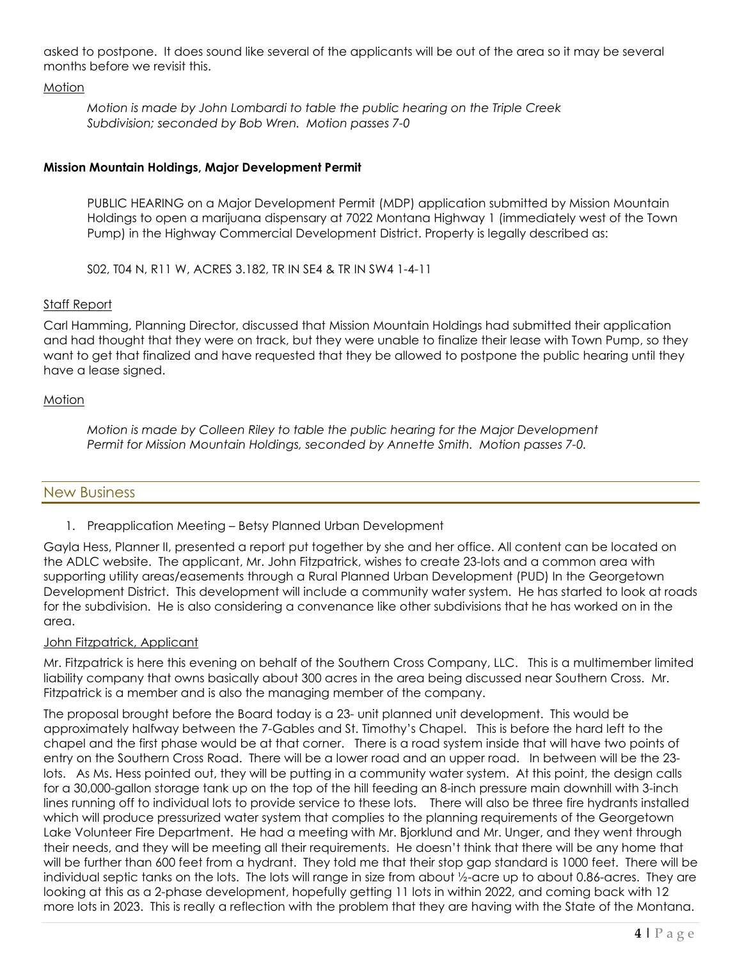asked to postpone. It does sound like several of the applicants will be out of the area so it may be several months before we revisit this.

#### **Motion**

*Motion is made by John Lombardi to table the public hearing on the Triple Creek Subdivision; seconded by Bob Wren. Motion passes 7-0* 

# **Mission Mountain Holdings, Major Development Permit**

PUBLIC HEARING on a Major Development Permit (MDP) application submitted by Mission Mountain Holdings to open a marijuana dispensary at 7022 Montana Highway 1 (immediately west of the Town Pump) in the Highway Commercial Development District. Property is legally described as:

S02, T04 N, R11 W, ACRES 3.182, TR IN SE4 & TR IN SW4 1-4-11

#### Staff Report

Carl Hamming, Planning Director, discussed that Mission Mountain Holdings had submitted their application and had thought that they were on track, but they were unable to finalize their lease with Town Pump, so they want to get that finalized and have requested that they be allowed to postpone the public hearing until they have a lease signed.

#### Motion

*Motion is made by Colleen Riley to table the public hearing for the Major Development Permit for Mission Mountain Holdings, seconded by Annette Smith. Motion passes 7-0.* 

# New Business

1. Preapplication Meeting – Betsy Planned Urban Development

Gayla Hess, Planner II, presented a report put together by she and her office. All content can be located on the ADLC website. The applicant, Mr. John Fitzpatrick, wishes to create 23-lots and a common area with supporting utility areas/easements through a Rural Planned Urban Development (PUD) In the Georgetown Development District. This development will include a community water system. He has started to look at roads for the subdivision. He is also considering a convenance like other subdivisions that he has worked on in the area.

#### John Fitzpatrick, Applicant

Mr. Fitzpatrick is here this evening on behalf of the Southern Cross Company, LLC. This is a multimember limited liability company that owns basically about 300 acres in the area being discussed near Southern Cross. Mr. Fitzpatrick is a member and is also the managing member of the company.

The proposal brought before the Board today is a 23- unit planned unit development. This would be approximately halfway between the 7-Gables and St. Timothy's Chapel. This is before the hard left to the chapel and the first phase would be at that corner. There is a road system inside that will have two points of entry on the Southern Cross Road. There will be a lower road and an upper road. In between will be the 23 lots. As Ms. Hess pointed out, they will be putting in a community water system. At this point, the design calls for a 30,000-gallon storage tank up on the top of the hill feeding an 8-inch pressure main downhill with 3-inch lines running off to individual lots to provide service to these lots. There will also be three fire hydrants installed which will produce pressurized water system that complies to the planning requirements of the Georgetown Lake Volunteer Fire Department. He had a meeting with Mr. Bjorklund and Mr. Unger, and they went through their needs, and they will be meeting all their requirements. He doesn't think that there will be any home that will be further than 600 feet from a hydrant. They told me that their stop gap standard is 1000 feet. There will be individual septic tanks on the lots. The lots will range in size from about ½-acre up to about 0.86-acres. They are looking at this as a 2-phase development, hopefully getting 11 lots in within 2022, and coming back with 12 more lots in 2023. This is really a reflection with the problem that they are having with the State of the Montana.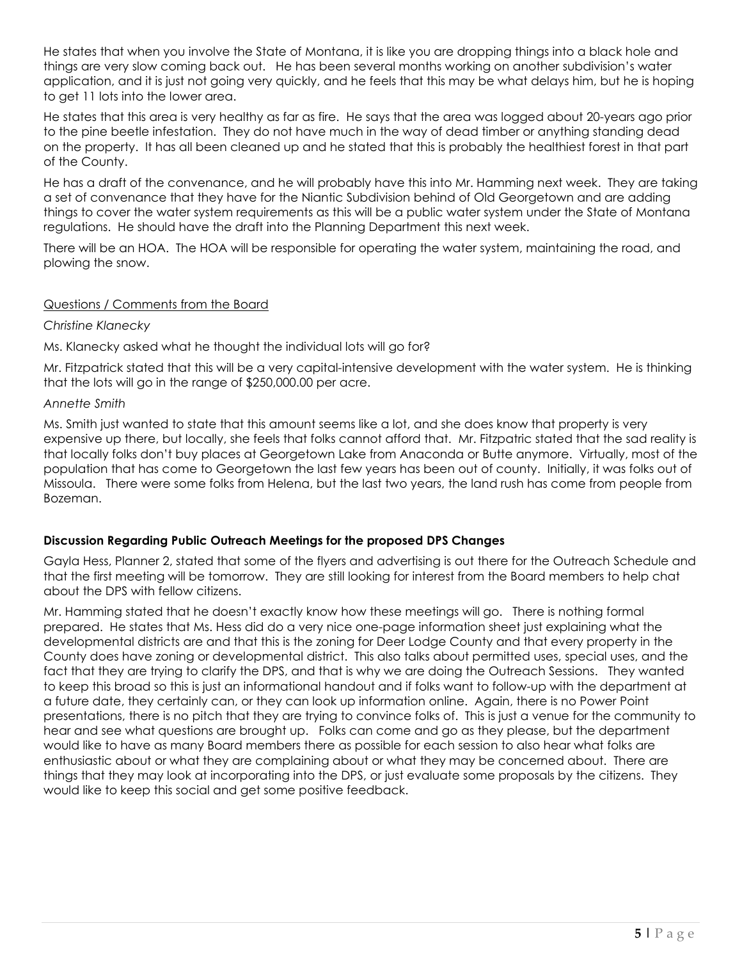He states that when you involve the State of Montana, it is like you are dropping things into a black hole and things are very slow coming back out. He has been several months working on another subdivision's water application, and it is just not going very quickly, and he feels that this may be what delays him, but he is hoping to get 11 lots into the lower area.

He states that this area is very healthy as far as fire. He says that the area was logged about 20-years ago prior to the pine beetle infestation. They do not have much in the way of dead timber or anything standing dead on the property. It has all been cleaned up and he stated that this is probably the healthiest forest in that part of the County.

He has a draft of the convenance, and he will probably have this into Mr. Hamming next week. They are taking a set of convenance that they have for the Niantic Subdivision behind of Old Georgetown and are adding things to cover the water system requirements as this will be a public water system under the State of Montana regulations. He should have the draft into the Planning Department this next week.

There will be an HOA. The HOA will be responsible for operating the water system, maintaining the road, and plowing the snow.

#### Questions / Comments from the Board

#### *Christine Klanecky*

Ms. Klanecky asked what he thought the individual lots will go for?

Mr. Fitzpatrick stated that this will be a very capital-intensive development with the water system. He is thinking that the lots will go in the range of \$250,000.00 per acre.

#### *Annette Smith*

Ms. Smith just wanted to state that this amount seems like a lot, and she does know that property is very expensive up there, but locally, she feels that folks cannot afford that. Mr. Fitzpatric stated that the sad reality is that locally folks don't buy places at Georgetown Lake from Anaconda or Butte anymore. Virtually, most of the population that has come to Georgetown the last few years has been out of county. Initially, it was folks out of Missoula. There were some folks from Helena, but the last two years, the land rush has come from people from Bozeman.

# **Discussion Regarding Public Outreach Meetings for the proposed DPS Changes**

Gayla Hess, Planner 2, stated that some of the flyers and advertising is out there for the Outreach Schedule and that the first meeting will be tomorrow. They are still looking for interest from the Board members to help chat about the DPS with fellow citizens.

Mr. Hamming stated that he doesn't exactly know how these meetings will go. There is nothing formal prepared. He states that Ms. Hess did do a very nice one-page information sheet just explaining what the developmental districts are and that this is the zoning for Deer Lodge County and that every property in the County does have zoning or developmental district. This also talks about permitted uses, special uses, and the fact that they are trying to clarify the DPS, and that is why we are doing the Outreach Sessions. They wanted to keep this broad so this is just an informational handout and if folks want to follow-up with the department at a future date, they certainly can, or they can look up information online. Again, there is no Power Point presentations, there is no pitch that they are trying to convince folks of. This is just a venue for the community to hear and see what questions are brought up. Folks can come and go as they please, but the department would like to have as many Board members there as possible for each session to also hear what folks are enthusiastic about or what they are complaining about or what they may be concerned about. There are things that they may look at incorporating into the DPS, or just evaluate some proposals by the citizens. They would like to keep this social and get some positive feedback.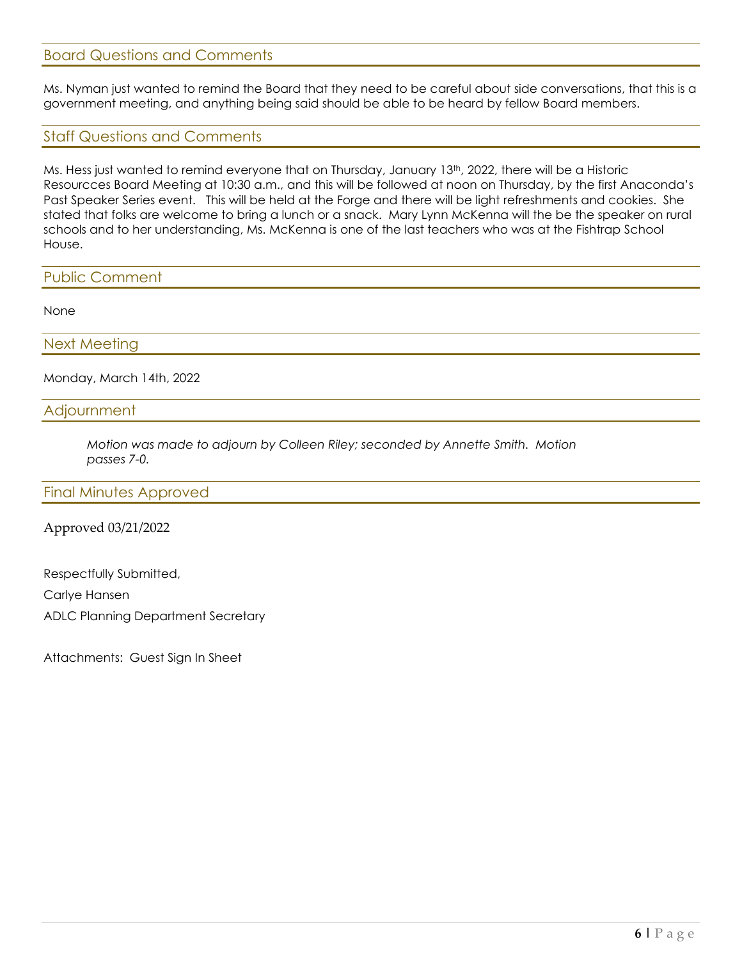# Board Questions and Comments

Ms. Nyman just wanted to remind the Board that they need to be careful about side conversations, that this is a government meeting, and anything being said should be able to be heard by fellow Board members.

# Staff Questions and Comments

Ms. Hess just wanted to remind everyone that on Thursday, January 13<sup>th</sup>, 2022, there will be a Historic Resourcces Board Meeting at 10:30 a.m., and this will be followed at noon on Thursday, by the first Anaconda's Past Speaker Series event. This will be held at the Forge and there will be light refreshments and cookies. She stated that folks are welcome to bring a lunch or a snack. Mary Lynn McKenna will the be the speaker on rural schools and to her understanding, Ms. McKenna is one of the last teachers who was at the Fishtrap School House.

#### Public Comment

None

Next Meeting

Monday, March 14th, 2022

# **Adjournment**

*Motion was made to adjourn by Colleen Riley; seconded by Annette Smith. Motion passes 7-0.*

#### Final Minutes Approved

#### Approved 03/21/2022

Respectfully Submitted, Carlye Hansen ADLC Planning Department Secretary

Attachments: Guest Sign In Sheet